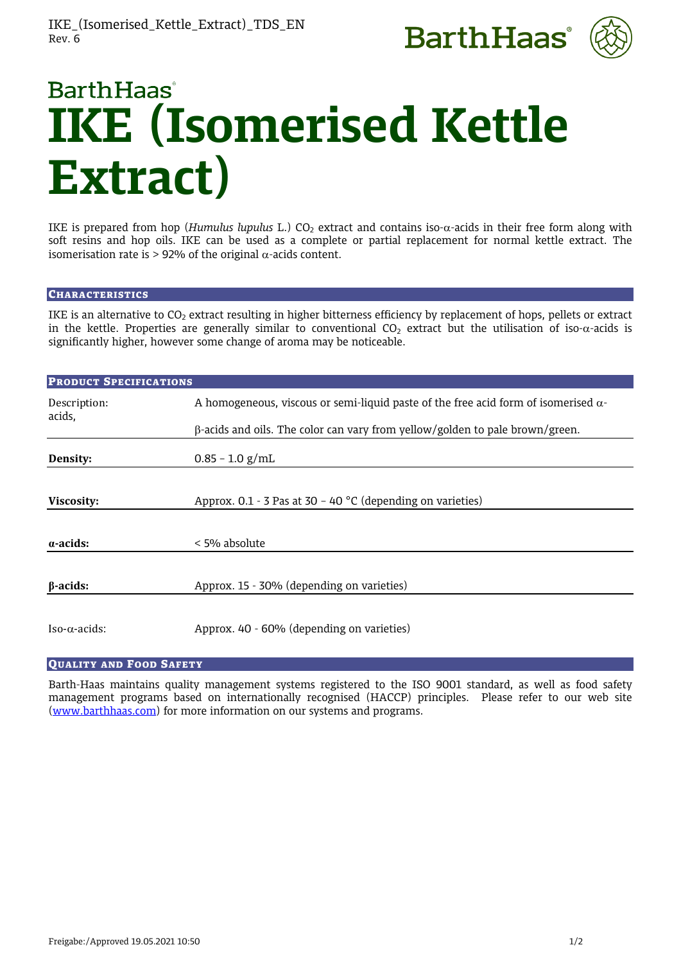



# **BarthHaas**<sup>®</sup> **IKE (Isomerised Kettle Extract)**

IKE is prepared from hop (*Humulus lupulus* L.)  $CO<sub>2</sub>$  extract and contains iso- $\alpha$ -acids in their free form along with soft resins and hop oils. IKE can be used as a complete or partial replacement for normal kettle extract. The isomerisation rate is  $> 92\%$  of the original  $\alpha$ -acids content.

# **CHARACTERISTICS**

IKE is an alternative to  $CO<sub>2</sub>$  extract resulting in higher bitterness efficiency by replacement of hops, pellets or extract in the kettle. Properties are generally similar to conventional  $CO_2$  extract but the utilisation of iso- $\alpha$ -acids is significantly higher, however some change of aroma may be noticeable.

| <b>PRODUCT SPECIFICATIONS</b> |                                                                                            |
|-------------------------------|--------------------------------------------------------------------------------------------|
| Description:<br>acids,        | A homogeneous, viscous or semi-liquid paste of the free acid form of isomerised $\alpha$ - |
|                               | $\beta$ -acids and oils. The color can vary from yellow/golden to pale brown/green.        |
| Density:                      | $0.85 - 1.0$ g/mL                                                                          |
|                               |                                                                                            |
| Viscosity:                    | Approx. 0.1 - 3 Pas at 30 - 40 °C (depending on varieties)                                 |
|                               |                                                                                            |
| a-acids:                      | < 5% absolute                                                                              |
|                               |                                                                                            |
| $\beta$ -acids:               | Approx. 15 - 30% (depending on varieties)                                                  |
|                               |                                                                                            |
| $Iso-\alpha-acids$            | Approx. 40 - 60% (depending on varieties)                                                  |

# QUALITY AND FOOD SAFETY

Barth-Haas maintains quality management systems registered to the ISO 9001 standard, as well as food safety management programs based on internationally recognised (HACCP) principles. Please refer to our web site [\(www.barthhaas.com\)](http://www.barthhaas.com/) for more information on our systems and programs.